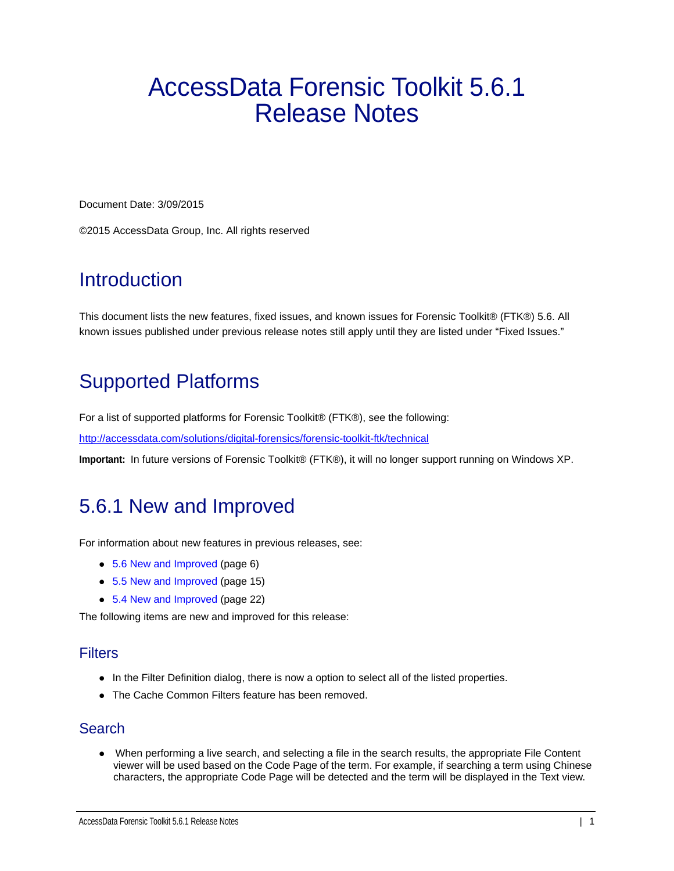# AccessData Forensic Toolkit 5.6.1 Release Notes

Document Date: 3/09/2015

©2015 AccessData Group, Inc. All rights reserved

## **Introduction**

This document lists the new features, fixed issues, and known issues for Forensic Toolkit® (FTK®) 5.6. All known issues published under previous release notes still apply until they are listed under "Fixed Issues."

## Supported Platforms

For a list of supported platforms for Forensic Toolkit® (FTK®), see the following:

<http://accessdata.com/solutions/digital-forensics/forensic-toolkit-ftk/technical>

**Important:** In future versions of Forensic Toolkit® (FTK®), it will no longer support running on Windows XP.

## 5.6.1 New and Improved

For information about new features in previous releases, see:

- [5.6 New and Improved \(page 6\)](#page-5-0)
- [5.5 New and Improved \(page 15\)](#page-14-0)
- [5.4 New and Improved \(page 22\)](#page-21-0)

The following items are new and improved for this release:

## **Filters**

- In the Filter Definition dialog, there is now a option to select all of the listed properties.
- The Cache Common Filters feature has been removed

## **Search**

 When performing a live search, and selecting a file in the search results, the appropriate File Content viewer will be used based on the Code Page of the term. For example, if searching a term using Chinese characters, the appropriate Code Page will be detected and the term will be displayed in the Text view.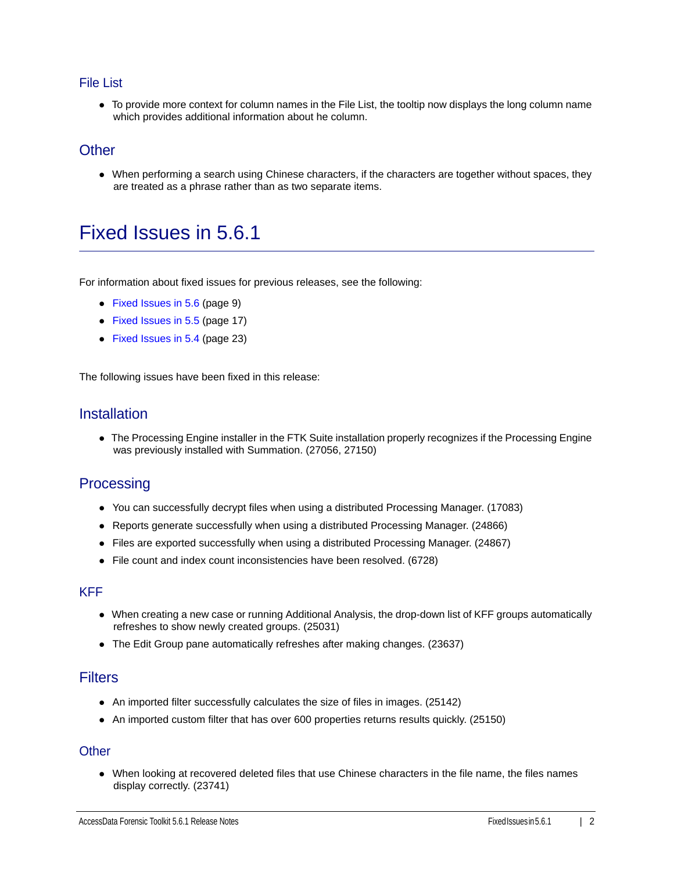### File List

To provide more context for column names in the File List, the tooltip now displays the long column name which provides additional information about he column.

## **Other**

When performing a search using Chinese characters, if the characters are together without spaces, they are treated as a phrase rather than as two separate items.

## Fixed Issues in 5.6.1

For information about fixed issues for previous releases, see the following:

- [Fixed Issues in 5.6 \(page 9\)](#page-8-0)
- [Fixed Issues in 5.5 \(page 17\)](#page-16-0)
- [Fixed Issues in 5.4 \(page 23\)](#page-22-0)

The following issues have been fixed in this release:

## **Installation**

The Processing Engine installer in the FTK Suite installation properly recognizes if the Processing Engine was previously installed with Summation. (27056, 27150)

## **Processing**

- You can successfully decrypt files when using a distributed Processing Manager. (17083)
- Reports generate successfully when using a distributed Processing Manager. (24866)
- Files are exported successfully when using a distributed Processing Manager. (24867)
- File count and index count inconsistencies have been resolved. (6728)

#### KFF

- When creating a new case or running Additional Analysis, the drop-down list of KFF groups automatically refreshes to show newly created groups. (25031)
- The Edit Group pane automatically refreshes after making changes. (23637)

## **Filters**

- An imported filter successfully calculates the size of files in images. (25142)
- An imported custom filter that has over 600 properties returns results quickly. (25150)

#### **Other**

When looking at recovered deleted files that use Chinese characters in the file name, the files names display correctly. (23741)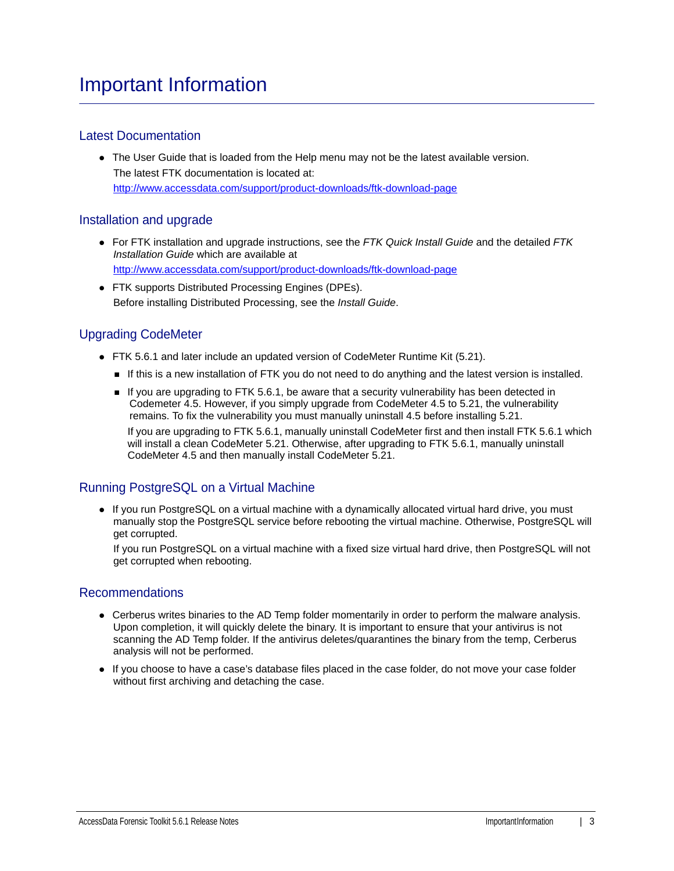## Latest Documentation

• The User Guide that is loaded from the Help menu may not be the latest available version. The latest FTK documentation is located at: http://www.accessdata.com/support/product-downloads/ftk-download-page

## Installation and upgrade

- For FTK installation and upgrade instructions, see the *FTK Quick Install Guide* and the detailed *FTK Installation Guide* which are available at http://www.accessdata.com/support/product-downloads/ftk-download-page
- FTK supports Distributed Processing Engines (DPEs). Before installing Distributed Processing, see the *Install Guide*.

## Upgrading CodeMeter

- FTK 5.6.1 and later include an updated version of CodeMeter Runtime Kit (5.21).
	- If this is a new installation of FTK you do not need to do anything and the latest version is installed.
	- If you are upgrading to FTK 5.6.1, be aware that a security vulnerability has been detected in Codemeter 4.5. However, if you simply upgrade from CodeMeter 4.5 to 5.21, the vulnerability remains. To fix the vulnerability you must manually uninstall 4.5 before installing 5.21. If you are upgrading to FTK 5.6.1, manually uninstall CodeMeter first and then install FTK 5.6.1 which will install a clean CodeMeter 5.21. Otherwise, after upgrading to FTK 5.6.1, manually uninstall CodeMeter 4.5 and then manually install CodeMeter 5.21.

## Running PostgreSQL on a Virtual Machine

• If you run PostgreSQL on a virtual machine with a dynamically allocated virtual hard drive, you must manually stop the PostgreSQL service before rebooting the virtual machine. Otherwise, PostgreSQL will get corrupted.

If you run PostgreSQL on a virtual machine with a fixed size virtual hard drive, then PostgreSQL will not get corrupted when rebooting.

#### Recommendations

- Cerberus writes binaries to the AD Temp folder momentarily in order to perform the malware analysis. Upon completion, it will quickly delete the binary. It is important to ensure that your antivirus is not scanning the AD Temp folder. If the antivirus deletes/quarantines the binary from the temp, Cerberus analysis will not be performed.
- If you choose to have a case's database files placed in the case folder, do not move your case folder without first archiving and detaching the case.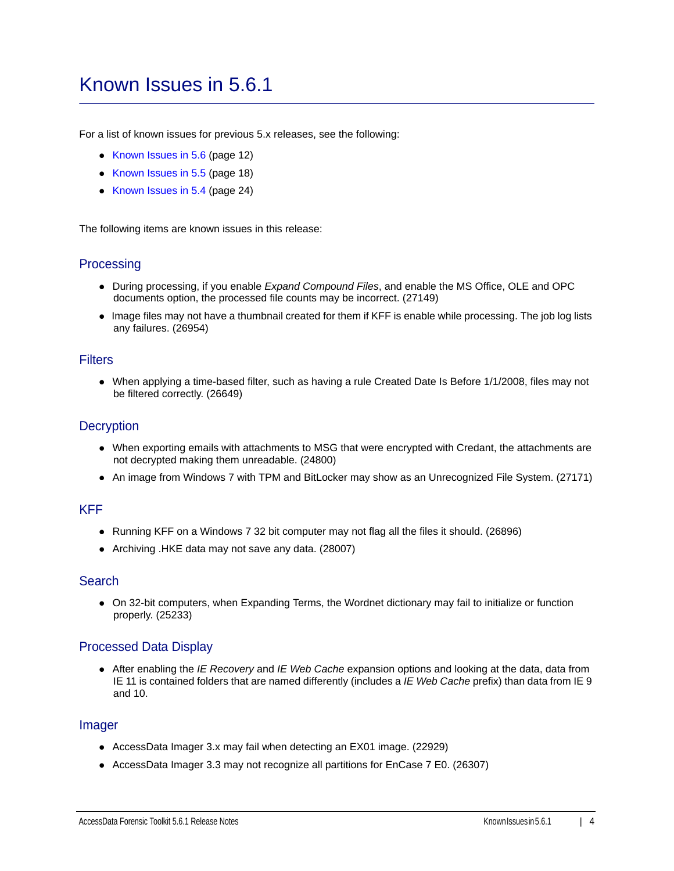## Known Issues in 5.6.1

For a list of known issues for previous 5.x releases, see the following:

- [Known Issues in 5.6 \(page 12\)](#page-11-0)
- [Known Issues in 5.5 \(page 18\)](#page-17-0)
- [Known Issues in 5.4 \(page 24\)](#page-23-0)

The following items are known issues in this release:

## **Processing**

- During processing, if you enable *Expand Compound Files*, and enable the MS Office, OLE and OPC documents option, the processed file counts may be incorrect. (27149)
- Image files may not have a thumbnail created for them if KFF is enable while processing. The job log lists any failures. (26954)

#### **Filters**

When applying a time-based filter, such as having a rule Created Date Is Before 1/1/2008, files may not be filtered correctly. (26649)

### **Decryption**

- When exporting emails with attachments to MSG that were encrypted with Credant, the attachments are not decrypted making them unreadable. (24800)
- An image from Windows 7 with TPM and BitLocker may show as an Unrecognized File System. (27171)

#### KFF

- Running KFF on a Windows 7 32 bit computer may not flag all the files it should. (26896)
- Archiving .HKE data may not save any data. (28007)

### **Search**

On 32-bit computers, when Expanding Terms, the Wordnet dictionary may fail to initialize or function properly. (25233)

## Processed Data Display

After enabling the *IE Recovery* and *IE Web Cache* expansion options and looking at the data, data from IE 11 is contained folders that are named differently (includes a *IE Web Cache* prefix) than data from IE 9 and 10.

### Imager

- AccessData Imager 3.x may fail when detecting an EX01 image. (22929)
- AccessData Imager 3.3 may not recognize all partitions for EnCase 7 E0. (26307)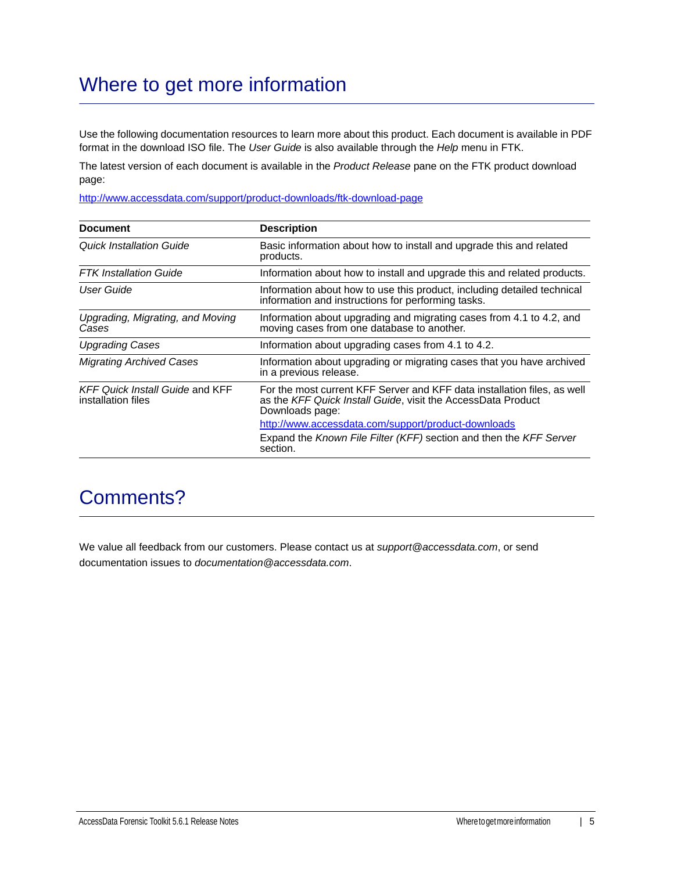## Where to get more information

Use the following documentation resources to learn more about this product. Each document is available in PDF format in the download ISO file. The *User Guide* is also available through the *Help* menu in FTK.

The latest version of each document is available in the *Product Release* pane on the FTK product download page:

http://www.accessdata.com/support/product-downloads/ftk-download-page

| <b>Document</b>                                              | <b>Description</b>                                                                                                                                          |
|--------------------------------------------------------------|-------------------------------------------------------------------------------------------------------------------------------------------------------------|
| Quick Installation Guide                                     | Basic information about how to install and upgrade this and related<br>products.                                                                            |
| <b>FTK</b> Installation Guide                                | Information about how to install and upgrade this and related products.                                                                                     |
| User Guide                                                   | Information about how to use this product, including detailed technical<br>information and instructions for performing tasks.                               |
| Upgrading, Migrating, and Moving<br>Cases                    | Information about upgrading and migrating cases from 4.1 to 4.2, and<br>moving cases from one database to another.                                          |
| <b>Upgrading Cases</b>                                       | Information about upgrading cases from 4.1 to 4.2.                                                                                                          |
| <b>Migrating Archived Cases</b>                              | Information about upgrading or migrating cases that you have archived<br>in a previous release.                                                             |
| <b>KFF Quick Install Guide and KFF</b><br>installation files | For the most current KFF Server and KFF data installation files, as well<br>as the KFF Quick Install Guide, visit the AccessData Product<br>Downloads page: |
|                                                              | http://www.accessdata.com/support/product-downloads                                                                                                         |
|                                                              | Expand the Known File Filter (KFF) section and then the KFF Server<br>section.                                                                              |

## Comments?

We value all feedback from our customers. Please contact us at *support@accessdata.com*, or send documentation issues to *documentation@accessdata.com*.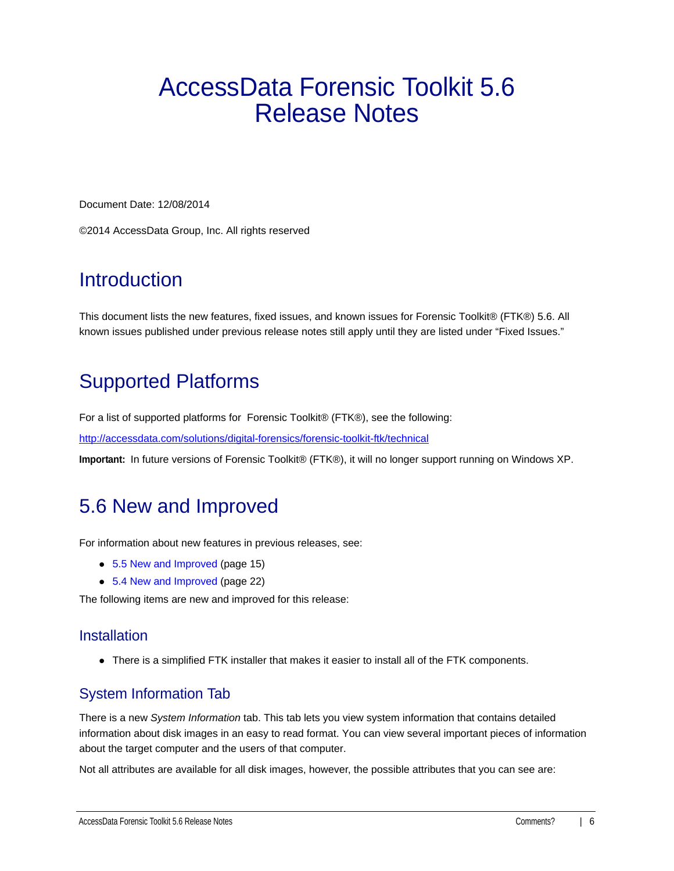# AccessData Forensic Toolkit 5.6 Release Notes

Document Date: 12/08/2014

©2014 AccessData Group, Inc. All rights reserved

## **Introduction**

This document lists the new features, fixed issues, and known issues for Forensic Toolkit® (FTK®) 5.6. All known issues published under previous release notes still apply until they are listed under "Fixed Issues."

## Supported Platforms

For a list of supported platforms for Forensic Toolkit® (FTK®), see the following:

<http://accessdata.com/solutions/digital-forensics/forensic-toolkit-ftk/technical>

**Important:** In future versions of Forensic Toolkit® (FTK®), it will no longer support running on Windows XP.

## <span id="page-5-0"></span>5.6 New and Improved

For information about new features in previous releases, see:

- [5.5 New and Improved \(page 15\)](#page-14-0)
- [5.4 New and Improved \(page 22\)](#page-21-0)

The following items are new and improved for this release:

## **Installation**

There is a simplified FTK installer that makes it easier to install all of the FTK components.

## System Information Tab

There is a new *System Information* tab. This tab lets you view system information that contains detailed information about disk images in an easy to read format. You can view several important pieces of information about the target computer and the users of that computer.

Not all attributes are available for all disk images, however, the possible attributes that you can see are: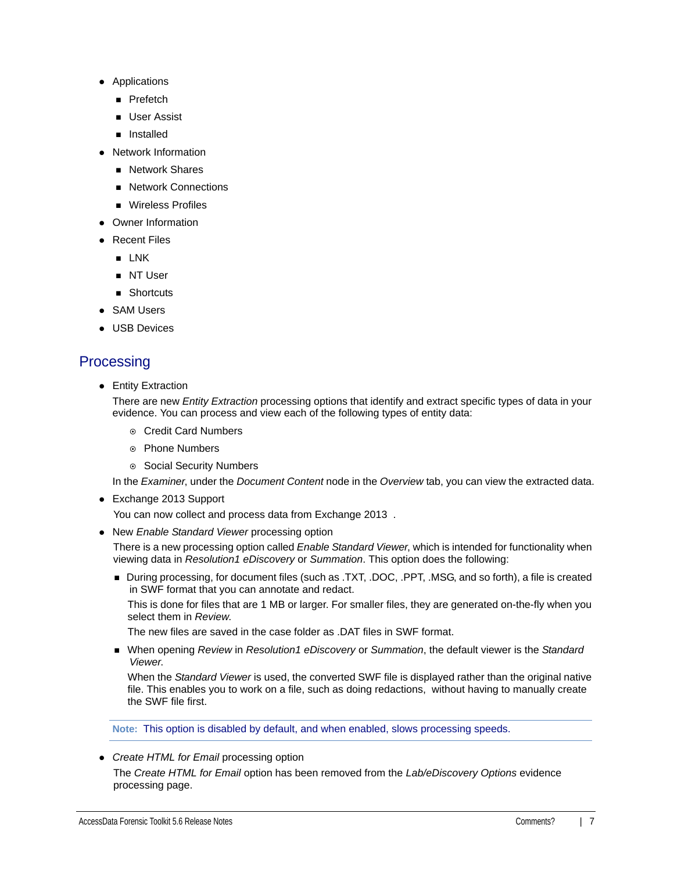- Applications
	- **Prefetch**
	- **User Assist**
	- **n** Installed
- Network Information
	- **Network Shares**
	- Network Connections
	- **Nireless Profiles**
- Owner Information
- **Recent Files** 
	- **E** LNK
	- **NT User**
	- Shortcuts
- SAM Users
- USB Devices

## **Processing**

• Entity Extraction

There are new *Entity Extraction* processing options that identify and extract specific types of data in your evidence. You can process and view each of the following types of entity data:

- Credit Card Numbers
- Phone Numbers
- Social Security Numbers

In the *Examiner*, under the *Document Content* node in the *Overview* tab, you can view the extracted data.

Exchange 2013 Support

You can now collect and process data from Exchange 2013 .

New *Enable Standard Viewer* processing option

There is a new processing option called *Enable Standard Viewer*, which is intended for functionality when viewing data in *Resolution1 eDiscovery* or *Summation*. This option does the following:

During processing, for document files (such as .TXT, .DOC, .PPT, .MSG, and so forth), a file is created in SWF format that you can annotate and redact.

This is done for files that are 1 MB or larger. For smaller files, they are generated on-the-fly when you select them in *Review*.

The new files are saved in the case folder as .DAT files in SWF format.

When opening *Review* in *Resolution1 eDiscovery* or *Summation*, the default viewer is the *Standard Viewer*.

When the *Standard Viewer* is used, the converted SWF file is displayed rather than the original native file. This enables you to work on a file, such as doing redactions, without having to manually create the SWF file first.

**Note:** This option is disabled by default, and when enabled, slows processing speeds.

#### *Create HTML for Email* processing option

The *Create HTML for Email* option has been removed from the *Lab/eDiscovery Options* evidence processing page.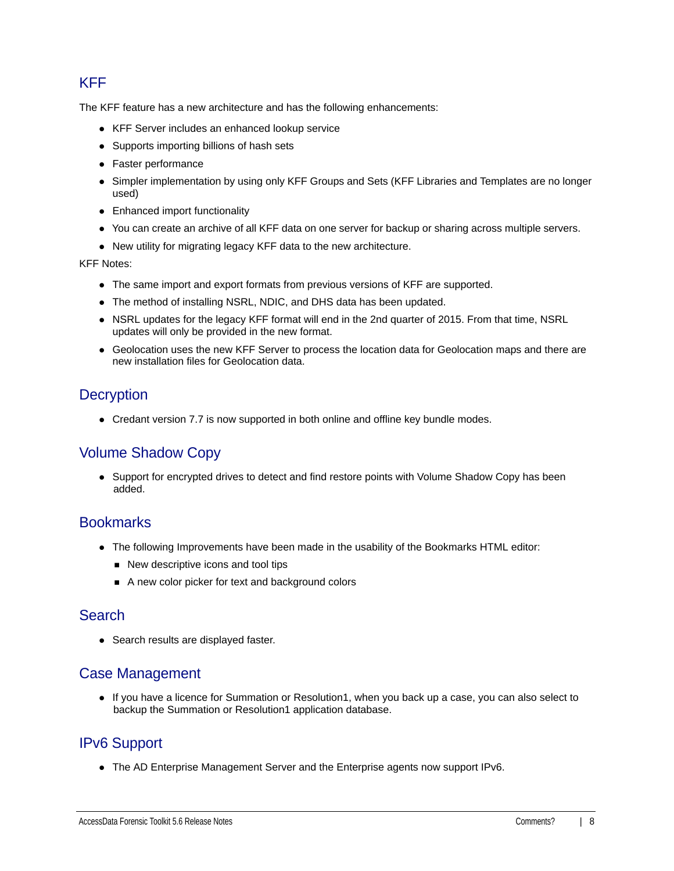## KFF

The KFF feature has a new architecture and has the following enhancements:

- KFF Server includes an enhanced lookup service
- Supports importing billions of hash sets
- Faster performance
- Simpler implementation by using only KFF Groups and Sets (KFF Libraries and Templates are no longer used)
- Enhanced import functionality
- You can create an archive of all KFF data on one server for backup or sharing across multiple servers.
- New utility for migrating legacy KFF data to the new architecture.

KFF Notes:

- The same import and export formats from previous versions of KFF are supported.
- The method of installing NSRL, NDIC, and DHS data has been updated.
- NSRL updates for the legacy KFF format will end in the 2nd quarter of 2015. From that time, NSRL updates will only be provided in the new format.
- Geolocation uses the new KFF Server to process the location data for Geolocation maps and there are new installation files for Geolocation data.

## **Decryption**

Credant version 7.7 is now supported in both online and offline key bundle modes.

## Volume Shadow Copy

• Support for encrypted drives to detect and find restore points with Volume Shadow Copy has been added.

## **Bookmarks**

- The following Improvements have been made in the usability of the Bookmarks HTML editor:
	- New descriptive icons and tool tips
	- A new color picker for text and background colors

## Search

• Search results are displayed faster.

## Case Management

If you have a licence for Summation or Resolution1, when you back up a case, you can also select to backup the Summation or Resolution1 application database.

## IPv6 Support

The AD Enterprise Management Server and the Enterprise agents now support IPv6.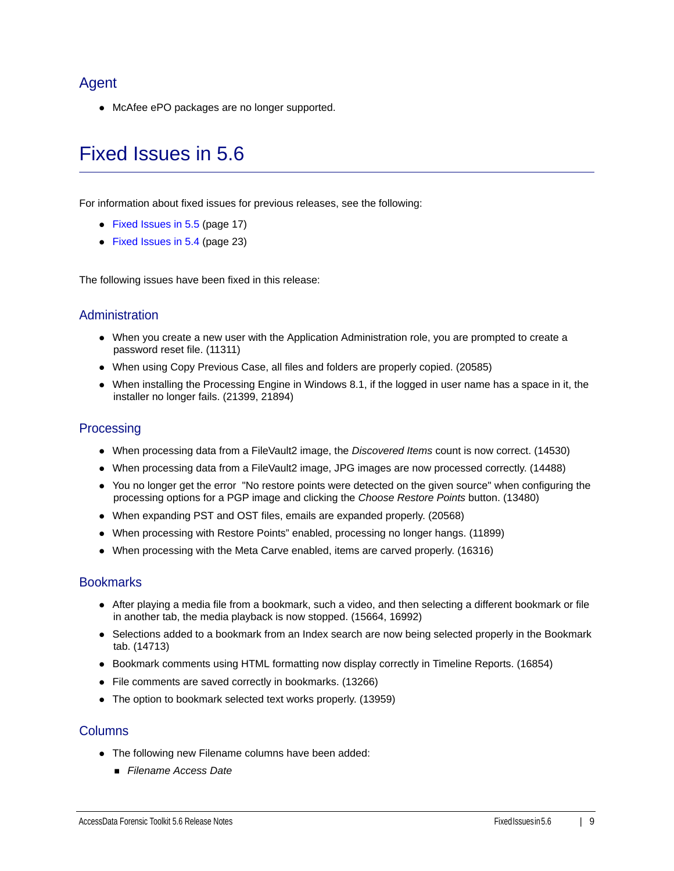## Agent

McAfee ePO packages are no longer supported.

## <span id="page-8-0"></span>Fixed Issues in 5.6

For information about fixed issues for previous releases, see the following:

- [Fixed Issues in 5.5 \(page 17\)](#page-16-0)
- [Fixed Issues in 5.4 \(page 23\)](#page-22-0)

The following issues have been fixed in this release:

### Administration

- When you create a new user with the Application Administration role, you are prompted to create a password reset file. (11311)
- When using Copy Previous Case, all files and folders are properly copied. (20585)
- When installing the Processing Engine in Windows 8.1, if the logged in user name has a space in it, the installer no longer fails. (21399, 21894)

### **Processing**

- When processing data from a FileVault2 image, the *Discovered Items* count is now correct. (14530)
- When processing data from a FileVault2 image, JPG images are now processed correctly. (14488)
- You no longer get the error "No restore points were detected on the given source" when configuring the processing options for a PGP image and clicking the *Choose Restore Points* button. (13480)
- When expanding PST and OST files, emails are expanded properly. (20568)
- When processing with Restore Points" enabled, processing no longer hangs. (11899)
- When processing with the Meta Carve enabled, items are carved properly. (16316)

### **Bookmarks**

- After playing a media file from a bookmark, such a video, and then selecting a different bookmark or file in another tab, the media playback is now stopped. (15664, 16992)
- Selections added to a bookmark from an Index search are now being selected properly in the Bookmark tab. (14713)
- Bookmark comments using HTML formatting now display correctly in Timeline Reports. (16854)
- File comments are saved correctly in bookmarks. (13266)
- The option to bookmark selected text works properly. (13959)

#### **Columns**

- The following new Filename columns have been added:
	- *Filename Access Date*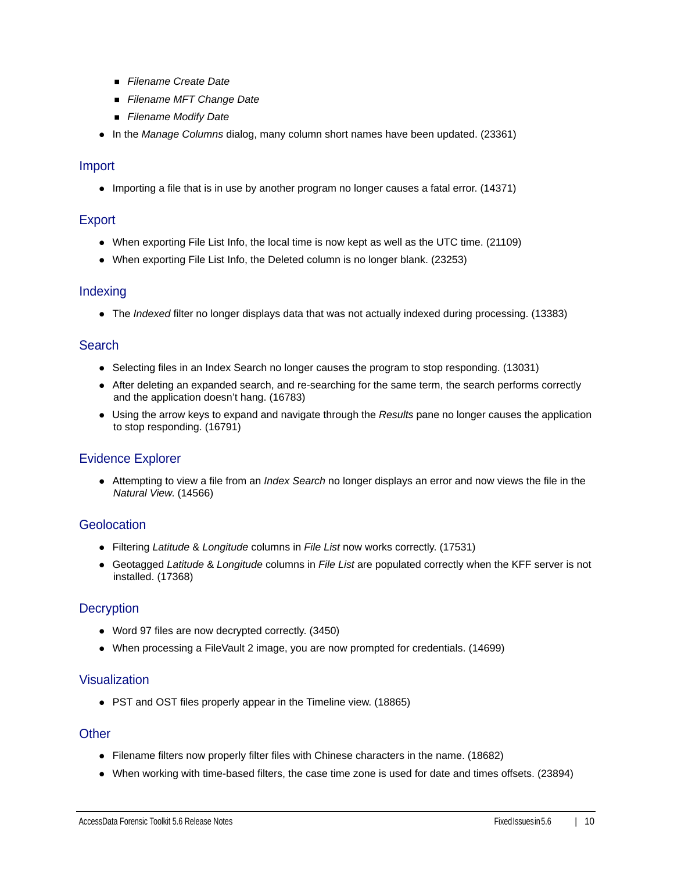- *Filename Create Date*
- *Filename MFT Change Date*
- *Filename Modify Date*
- In the *Manage Columns* dialog, many column short names have been updated. (23361)

#### Import

• Importing a file that is in use by another program no longer causes a fatal error. (14371)

### **Export**

- When exporting File List Info, the local time is now kept as well as the UTC time. (21109)
- When exporting File List Info, the Deleted column is no longer blank. (23253)

#### **Indexing**

The *Indexed* filter no longer displays data that was not actually indexed during processing. (13383)

### **Search**

- Selecting files in an Index Search no longer causes the program to stop responding. (13031)
- After deleting an expanded search, and re-searching for the same term, the search performs correctly and the application doesn't hang. (16783)
- Using the arrow keys to expand and navigate through the *Results* pane no longer causes the application to stop responding. (16791)

## Evidence Explorer

Attempting to view a file from an *Index Search* no longer displays an error and now views the file in the *Natural View*. (14566)

#### **Geolocation**

- Filtering *Latitude* & *Longitude* columns in *File List* now works correctly. (17531)
- Geotagged *Latitude* & *Longitude* columns in *File List* are populated correctly when the KFF server is not installed. (17368)

## **Decryption**

- Word 97 files are now decrypted correctly. (3450)
- When processing a FileVault 2 image, you are now prompted for credentials. (14699)

### Visualization

PST and OST files properly appear in the Timeline view. (18865)

#### **Other**

- Filename filters now properly filter files with Chinese characters in the name. (18682)
- When working with time-based filters, the case time zone is used for date and times offsets. (23894)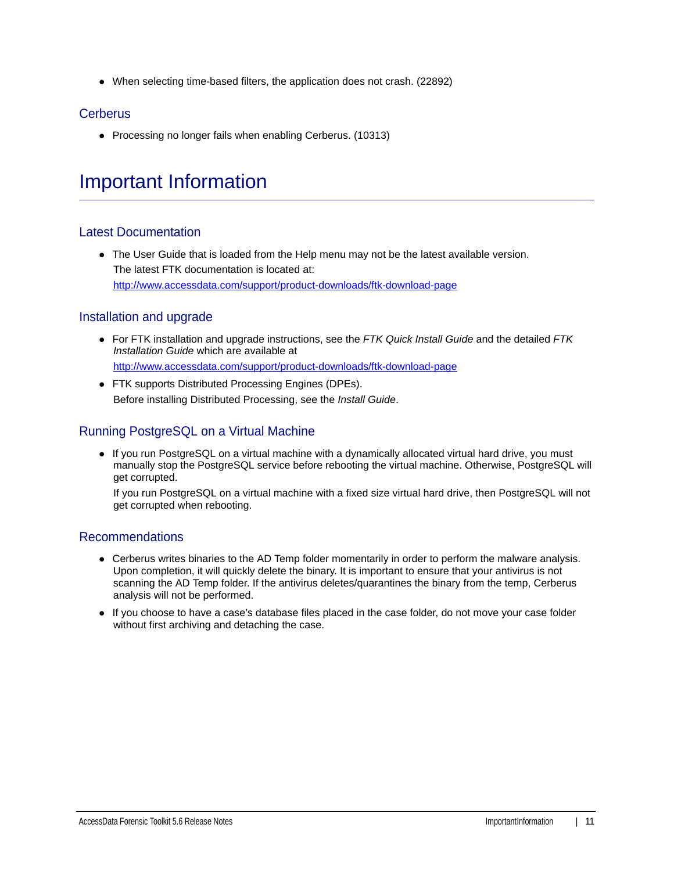When selecting time-based filters, the application does not crash. (22892)

## **Cerberus**

• Processing no longer fails when enabling Cerberus. (10313)

## Important Information

## Latest Documentation

• The User Guide that is loaded from the Help menu may not be the latest available version. The latest FTK documentation is located at: http://www.accessdata.com/support/product-downloads/ftk-download-page

## Installation and upgrade

- For FTK installation and upgrade instructions, see the *FTK Quick Install Guide* and the detailed *FTK Installation Guide* which are available at http://www.accessdata.com/support/product-downloads/ftk-download-page
- FTK supports Distributed Processing Engines (DPEs). Before installing Distributed Processing, see the *Install Guide*.

## Running PostgreSQL on a Virtual Machine

• If you run PostgreSQL on a virtual machine with a dynamically allocated virtual hard drive, you must manually stop the PostgreSQL service before rebooting the virtual machine. Otherwise, PostgreSQL will get corrupted.

If you run PostgreSQL on a virtual machine with a fixed size virtual hard drive, then PostgreSQL will not get corrupted when rebooting.

## Recommendations

- Cerberus writes binaries to the AD Temp folder momentarily in order to perform the malware analysis. Upon completion, it will quickly delete the binary. It is important to ensure that your antivirus is not scanning the AD Temp folder. If the antivirus deletes/quarantines the binary from the temp, Cerberus analysis will not be performed.
- If you choose to have a case's database files placed in the case folder, do not move your case folder without first archiving and detaching the case.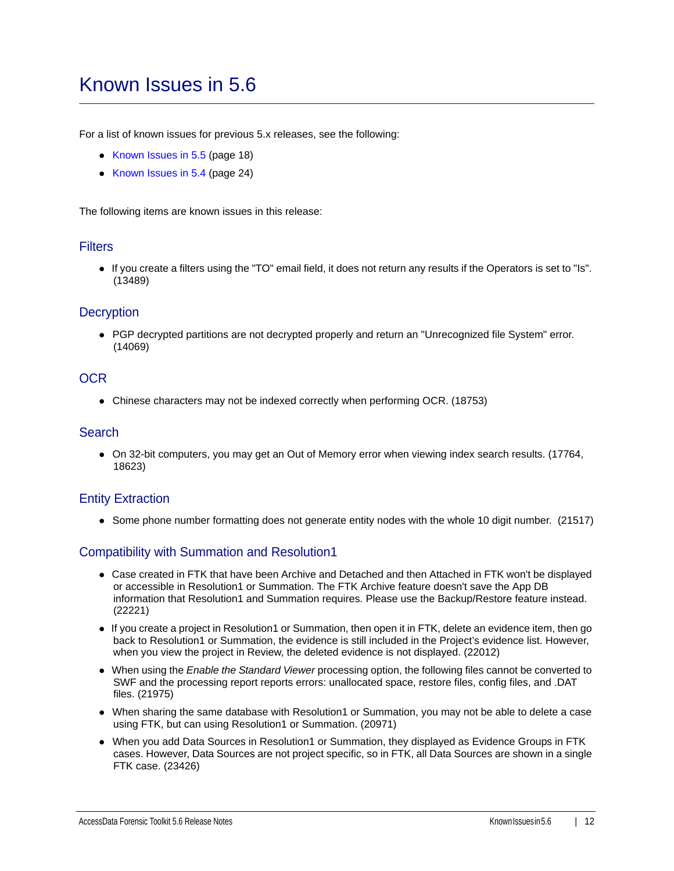## <span id="page-11-0"></span>Known Issues in 5.6

For a list of known issues for previous 5.x releases, see the following:

- [Known Issues in 5.5 \(page 18\)](#page-17-0)
- [Known Issues in 5.4 \(page 24\)](#page-23-0)

The following items are known issues in this release:

#### **Filters**

If you create a filters using the "TO" email field, it does not return any results if the Operators is set to "Is". (13489)

#### **Decryption**

• PGP decrypted partitions are not decrypted properly and return an "Unrecognized file System" error. (14069)

### OCR

• Chinese characters may not be indexed correctly when performing OCR. (18753)

#### **Search**

On 32-bit computers, you may get an Out of Memory error when viewing index search results. (17764, 18623)

#### Entity Extraction

• Some phone number formatting does not generate entity nodes with the whole 10 digit number. (21517)

## Compatibility with Summation and Resolution1

- Case created in FTK that have been Archive and Detached and then Attached in FTK won't be displayed or accessible in Resolution1 or Summation. The FTK Archive feature doesn't save the App DB information that Resolution1 and Summation requires. Please use the Backup/Restore feature instead. (22221)
- If you create a project in Resolution1 or Summation, then open it in FTK, delete an evidence item, then go back to Resolution1 or Summation, the evidence is still included in the Project's evidence list. However, when you view the project in Review, the deleted evidence is not displayed. (22012)
- When using the *Enable the Standard Viewer* processing option, the following files cannot be converted to SWF and the processing report reports errors: unallocated space, restore files, config files, and .DAT files. (21975)
- When sharing the same database with Resolution1 or Summation, you may not be able to delete a case using FTK, but can using Resolution1 or Summation. (20971)
- When you add Data Sources in Resolution1 or Summation, they displayed as Evidence Groups in FTK cases. However, Data Sources are not project specific, so in FTK, all Data Sources are shown in a single FTK case. (23426)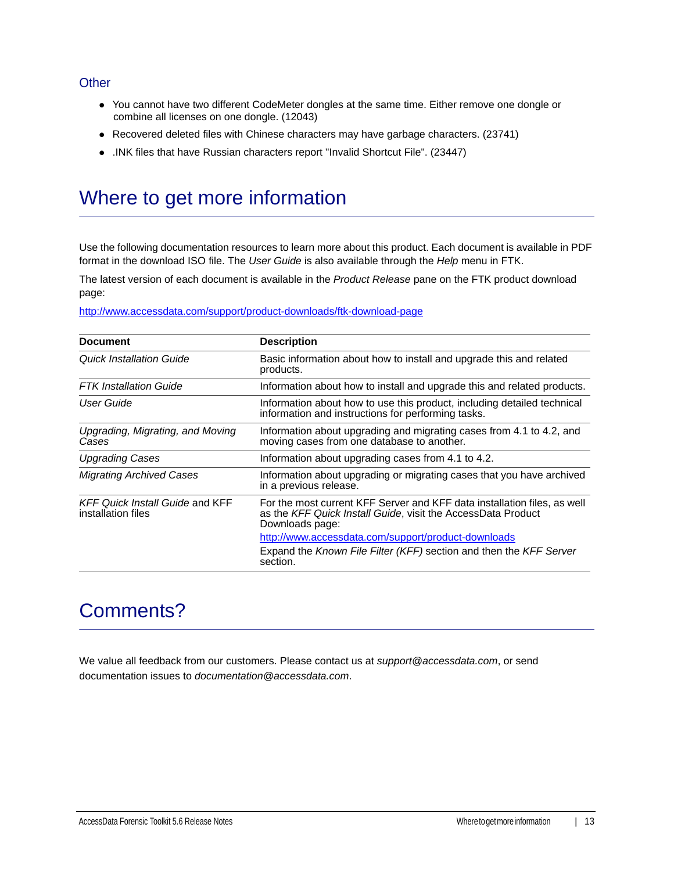## **Other**

- You cannot have two different CodeMeter dongles at the same time. Either remove one dongle or combine all licenses on one dongle. (12043)
- Recovered deleted files with Chinese characters may have garbage characters. (23741)
- .INK files that have Russian characters report "Invalid Shortcut File". (23447)

## Where to get more information

Use the following documentation resources to learn more about this product. Each document is available in PDF format in the download ISO file. The *User Guide* is also available through the *Help* menu in FTK.

The latest version of each document is available in the *Product Release* pane on the FTK product download page:

http://www.accessdata.com/support/product-downloads/ftk-download-page

| <b>Document</b>                                              | <b>Description</b>                                                                                                                                          |
|--------------------------------------------------------------|-------------------------------------------------------------------------------------------------------------------------------------------------------------|
| Quick Installation Guide                                     | Basic information about how to install and upgrade this and related<br>products.                                                                            |
| <b>FTK Installation Guide</b>                                | Information about how to install and upgrade this and related products.                                                                                     |
| User Guide                                                   | Information about how to use this product, including detailed technical<br>information and instructions for performing tasks.                               |
| Upgrading, Migrating, and Moving<br>Cases                    | Information about upgrading and migrating cases from 4.1 to 4.2, and<br>moving cases from one database to another.                                          |
| <b>Upgrading Cases</b>                                       | Information about upgrading cases from 4.1 to 4.2.                                                                                                          |
| <b>Migrating Archived Cases</b>                              | Information about upgrading or migrating cases that you have archived<br>in a previous release.                                                             |
| <b>KFF Quick Install Guide and KFF</b><br>installation files | For the most current KFF Server and KFF data installation files, as well<br>as the KFF Quick Install Guide, visit the AccessData Product<br>Downloads page: |
|                                                              | http://www.accessdata.com/support/product-downloads                                                                                                         |
|                                                              | Expand the Known File Filter (KFF) section and then the KFF Server<br>section.                                                                              |

## Comments?

We value all feedback from our customers. Please contact us at *support@accessdata.com*, or send documentation issues to *documentation@accessdata.com*.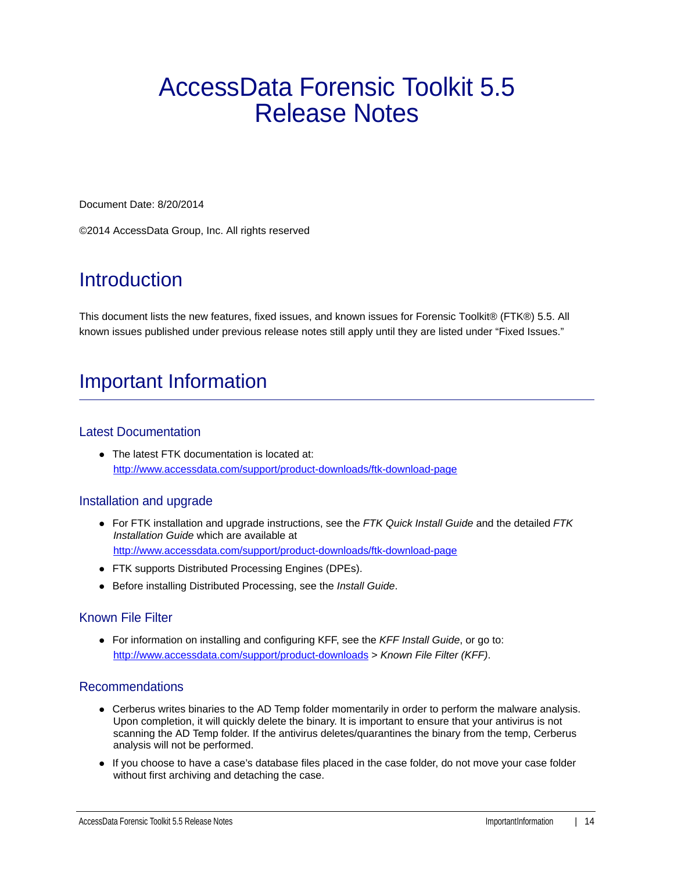# AccessData Forensic Toolkit 5.5 Release Notes

Document Date: 8/20/2014

©2014 AccessData Group, Inc. All rights reserved

## **Introduction**

This document lists the new features, fixed issues, and known issues for Forensic Toolkit® (FTK®) 5.5. All known issues published under previous release notes still apply until they are listed under "Fixed Issues."

## Important Information

## Latest Documentation

The latest FTK documentation is located at: http://www.accessdata.com/support/product-downloads/ftk-download-page

## Installation and upgrade

- For FTK installation and upgrade instructions, see the *FTK Quick Install Guide* and the detailed *FTK Installation Guide* which are available at http://www.accessdata.com/support/product-downloads/ftk-download-page
- FTK supports Distributed Processing Engines (DPEs).
- Before installing Distributed Processing, see the *Install Guide*.

## Known File Filter

For information on installing and configuring KFF, see the *KFF Install Guide*, or go to: <http://www.accessdata.com/support/product-downloads>> *Known File Filter (KFF)*.

## Recommendations

- Cerberus writes binaries to the AD Temp folder momentarily in order to perform the malware analysis. Upon completion, it will quickly delete the binary. It is important to ensure that your antivirus is not scanning the AD Temp folder. If the antivirus deletes/quarantines the binary from the temp, Cerberus analysis will not be performed.
- If you choose to have a case's database files placed in the case folder, do not move your case folder without first archiving and detaching the case.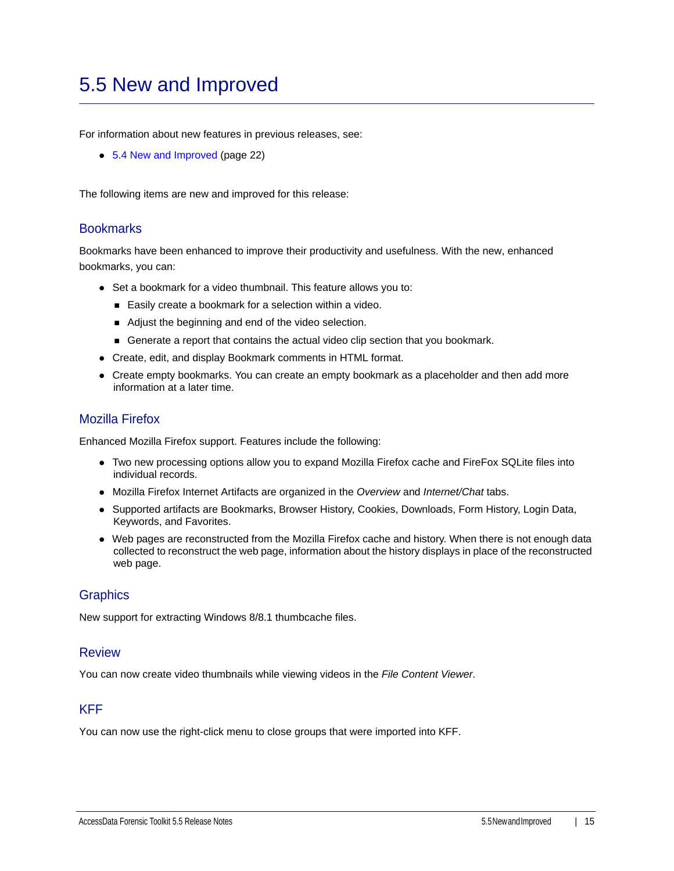## <span id="page-14-0"></span>5.5 New and Improved

For information about new features in previous releases, see:

[5.4 New and Improved \(page 22\)](#page-21-0)

The following items are new and improved for this release:

### **Bookmarks**

Bookmarks have been enhanced to improve their productivity and usefulness. With the new, enhanced bookmarks, you can:

- Set a bookmark for a video thumbnail. This feature allows you to:
	- Easily create a bookmark for a selection within a video.
	- Adjust the beginning and end of the video selection.
	- Generate a report that contains the actual video clip section that you bookmark.
- Create, edit, and display Bookmark comments in HTML format.
- Create empty bookmarks. You can create an empty bookmark as a placeholder and then add more information at a later time.

#### Mozilla Firefox

Enhanced Mozilla Firefox support. Features include the following:

- Two new processing options allow you to expand Mozilla Firefox cache and FireFox SQLite files into individual records.
- Mozilla Firefox Internet Artifacts are organized in the *Overview* and *Internet/Chat* tabs.
- Supported artifacts are Bookmarks, Browser History, Cookies, Downloads, Form History, Login Data, Keywords, and Favorites.
- Web pages are reconstructed from the Mozilla Firefox cache and history. When there is not enough data collected to reconstruct the web page, information about the history displays in place of the reconstructed web page.

## **Graphics**

New support for extracting Windows 8/8.1 thumbcache files.

#### **Review**

You can now create video thumbnails while viewing videos in the *File Content Viewer*.

## KFF

You can now use the right-click menu to close groups that were imported into KFF.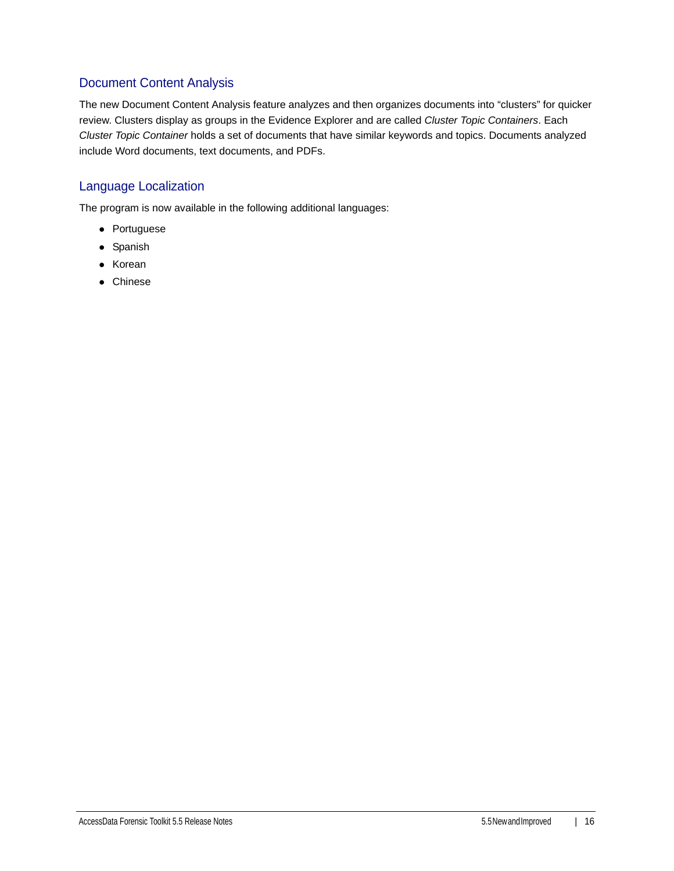## Document Content Analysis

The new Document Content Analysis feature analyzes and then organizes documents into "clusters" for quicker review. Clusters display as groups in the Evidence Explorer and are called *Cluster Topic Containers*. Each *Cluster Topic Container* holds a set of documents that have similar keywords and topics. Documents analyzed include Word documents, text documents, and PDFs.

## Language Localization

The program is now available in the following additional languages:

- Portuguese
- Spanish
- Korean
- Chinese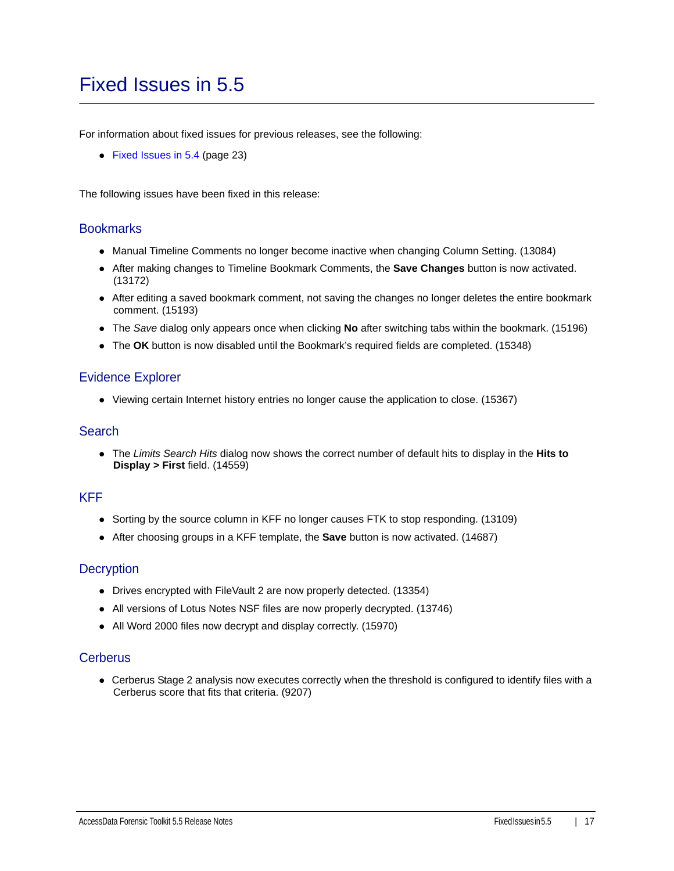## <span id="page-16-0"></span>Fixed Issues in 5.5

For information about fixed issues for previous releases, see the following:

[Fixed Issues in 5.4 \(page 23\)](#page-22-0)

The following issues have been fixed in this release:

#### **Bookmarks**

- Manual Timeline Comments no longer become inactive when changing Column Setting. (13084)
- After making changes to Timeline Bookmark Comments, the **Save Changes** button is now activated. (13172)
- After editing a saved bookmark comment, not saving the changes no longer deletes the entire bookmark comment. (15193)
- The *Save* dialog only appears once when clicking **No** after switching tabs within the bookmark. (15196)
- The **OK** button is now disabled until the Bookmark's required fields are completed. (15348)

#### Evidence Explorer

Viewing certain Internet history entries no longer cause the application to close. (15367)

### **Search**

The *Limits Search Hits* dialog now shows the correct number of default hits to display in the **Hits to Display > First** field. (14559)

### KFF

- Sorting by the source column in KFF no longer causes FTK to stop responding. (13109)
- After choosing groups in a KFF template, the **Save** button is now activated. (14687)

#### **Decryption**

- Drives encrypted with FileVault 2 are now properly detected. (13354)
- All versions of Lotus Notes NSF files are now properly decrypted. (13746)
- All Word 2000 files now decrypt and display correctly. (15970)

## **Cerberus**

Cerberus Stage 2 analysis now executes correctly when the threshold is configured to identify files with a Cerberus score that fits that criteria. (9207)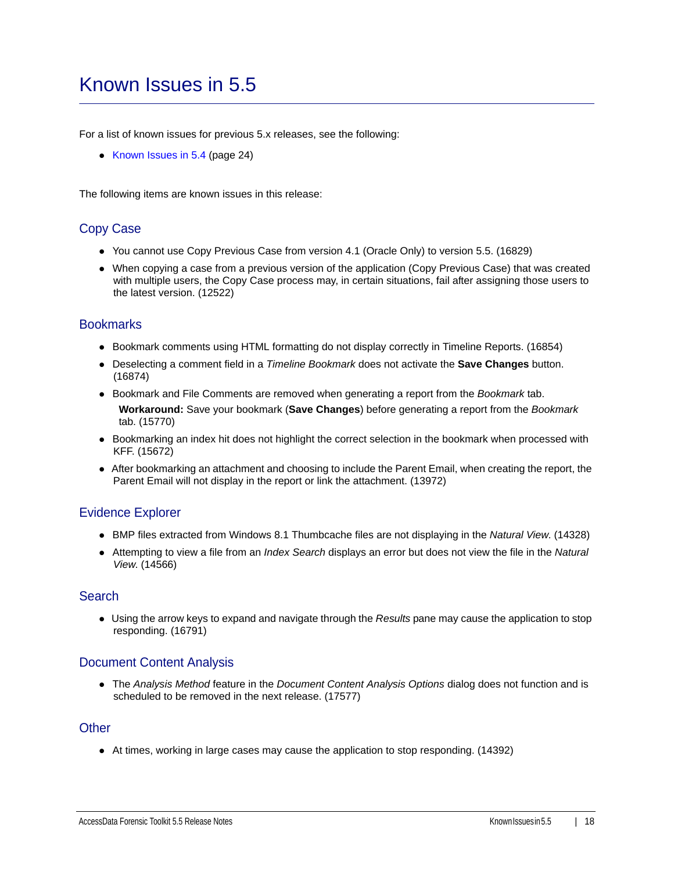## <span id="page-17-0"></span>Known Issues in 5.5

For a list of known issues for previous 5.x releases, see the following:

• [Known Issues in 5.4 \(page 24\)](#page-23-0)

The following items are known issues in this release:

## Copy Case

- You cannot use Copy Previous Case from version 4.1 (Oracle Only) to version 5.5. (16829)
- When copying a case from a previous version of the application (Copy Previous Case) that was created with multiple users, the Copy Case process may, in certain situations, fail after assigning those users to the latest version. (12522)

#### **Bookmarks**

- Bookmark comments using HTML formatting do not display correctly in Timeline Reports. (16854)
- Deselecting a comment field in a *Timeline Bookmark* does not activate the **Save Changes** button. (16874)
- **Bookmark and File Comments are removed when generating a report from the Bookmark tab.** 
	- **Workaround:** Save your bookmark (**Save Changes**) before generating a report from the *Bookmark* tab. (15770)
- Bookmarking an index hit does not highlight the correct selection in the bookmark when processed with KFF. (15672)
- After bookmarking an attachment and choosing to include the Parent Email, when creating the report, the Parent Email will not display in the report or link the attachment. (13972)

## Evidence Explorer

- BMP files extracted from Windows 8.1 Thumbcache files are not displaying in the *Natural View*. (14328)
- Attempting to view a file from an *Index Search* displays an error but does not view the file in the *Natural View*. (14566)

#### Search

Using the arrow keys to expand and navigate through the *Results* pane may cause the application to stop responding. (16791)

## Document Content Analysis

The *Analysis Method* feature in the *Document Content Analysis Options* dialog does not function and is scheduled to be removed in the next release. (17577)

### **Other**

At times, working in large cases may cause the application to stop responding. (14392)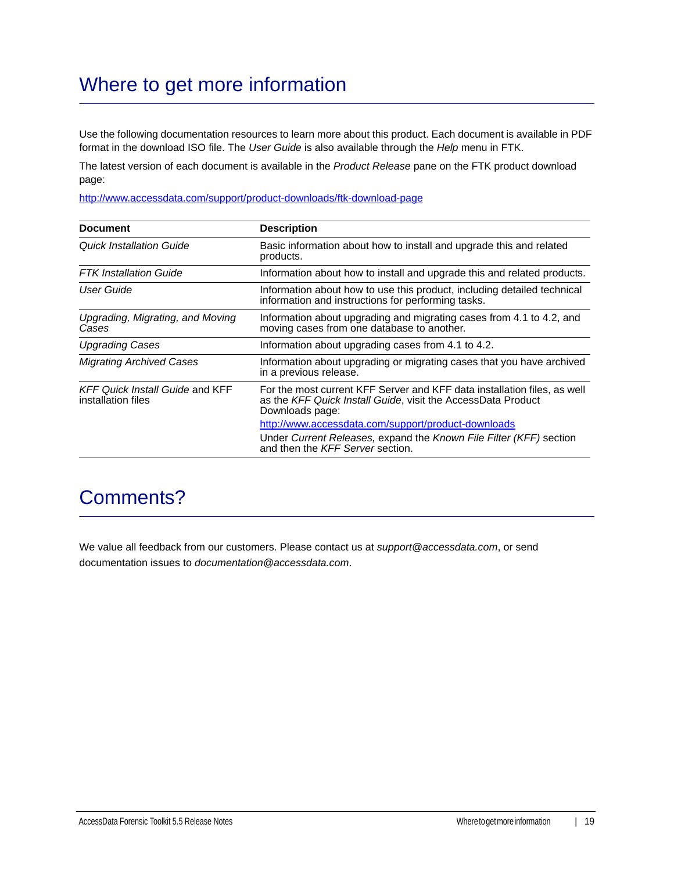## Where to get more information

Use the following documentation resources to learn more about this product. Each document is available in PDF format in the download ISO file. The *User Guide* is also available through the *Help* menu in FTK.

The latest version of each document is available in the *Product Release* pane on the FTK product download page:

http://www.accessdata.com/support/product-downloads/ftk-download-page

| <b>Document</b>                                              | <b>Description</b>                                                                                                                                          |
|--------------------------------------------------------------|-------------------------------------------------------------------------------------------------------------------------------------------------------------|
| Quick Installation Guide                                     | Basic information about how to install and upgrade this and related<br>products.                                                                            |
| <b>FTK</b> Installation Guide                                | Information about how to install and upgrade this and related products.                                                                                     |
| User Guide                                                   | Information about how to use this product, including detailed technical<br>information and instructions for performing tasks.                               |
| Upgrading, Migrating, and Moving<br>Cases                    | Information about upgrading and migrating cases from 4.1 to 4.2, and<br>moving cases from one database to another.                                          |
| <b>Upgrading Cases</b>                                       | Information about upgrading cases from 4.1 to 4.2.                                                                                                          |
| <b>Migrating Archived Cases</b>                              | Information about upgrading or migrating cases that you have archived<br>in a previous release.                                                             |
| <b>KFF Quick Install Guide and KFF</b><br>installation files | For the most current KFF Server and KFF data installation files, as well<br>as the KFF Quick Install Guide, visit the AccessData Product<br>Downloads page: |
|                                                              | http://www.accessdata.com/support/product-downloads                                                                                                         |
|                                                              | Under Current Releases, expand the Known File Filter (KFF) section<br>and then the KFF Server section.                                                      |

## Comments?

We value all feedback from our customers. Please contact us at *support@accessdata.com*, or send documentation issues to *documentation@accessdata.com*.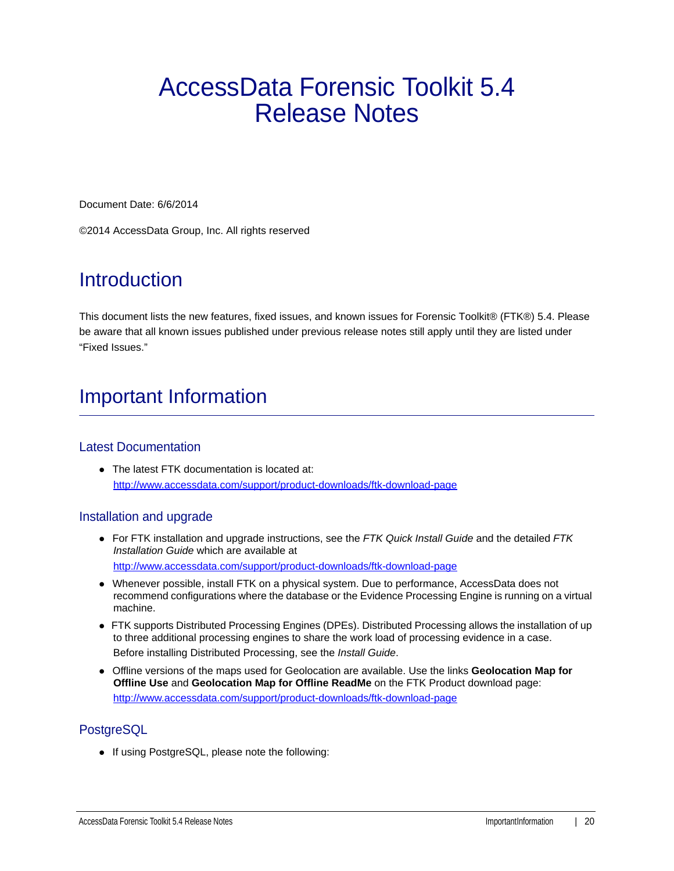# AccessData Forensic Toolkit 5.4 Release Notes

Document Date: 6/6/2014

©2014 AccessData Group, Inc. All rights reserved

## **Introduction**

This document lists the new features, fixed issues, and known issues for Forensic Toolkit® (FTK®) 5.4. Please be aware that all known issues published under previous release notes still apply until they are listed under "Fixed Issues."

## Important Information

## Latest Documentation

• The latest FTK documentation is located at: http://www.accessdata.com/support/product-downloads/ftk-download-page

## Installation and upgrade

- For FTK installation and upgrade instructions, see the *FTK Quick Install Guide* and the detailed *FTK Installation Guide* which are available at http://www.accessdata.com/support/product-downloads/ftk-download-page
- Whenever possible, install FTK on a physical system. Due to performance, AccessData does not recommend configurations where the database or the Evidence Processing Engine is running on a virtual machine.
- FTK supports Distributed Processing Engines (DPEs). Distributed Processing allows the installation of up to three additional processing engines to share the work load of processing evidence in a case. Before installing Distributed Processing, see the *Install Guide*.
- Offline versions of the maps used for Geolocation are available. Use the links **Geolocation Map for Offline Use** and **Geolocation Map for Offline ReadMe** on the FTK Product download page: http://www.accessdata.com/support/product-downloads/ftk-download-page

## **PostgreSQL**

• If using PostgreSQL, please note the following: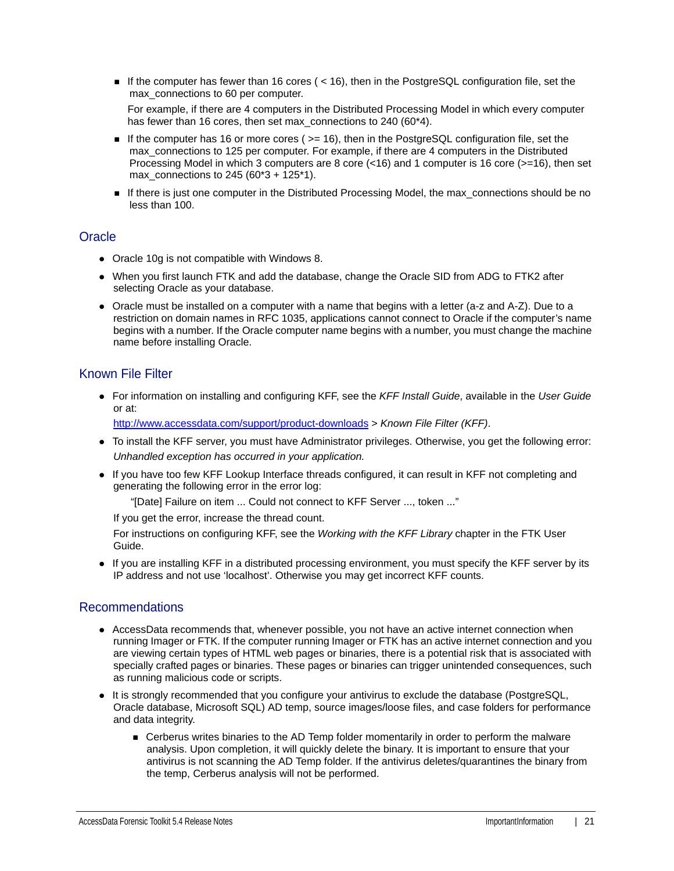If the computer has fewer than 16 cores  $(< 16)$ , then in the PostgreSQL configuration file, set the max connections to 60 per computer.

For example, if there are 4 computers in the Distributed Processing Model in which every computer has fewer than 16 cores, then set max\_connections to 240 (60\*4).

- If the computer has 16 or more cores ( $>=$  16), then in the PostgreSQL configuration file, set the max connections to 125 per computer. For example, if there are 4 computers in the Distributed Processing Model in which 3 computers are 8 core  $\left($  <16) and 1 computer is 16 core ( $>$ =16), then set max connections to 245 (60\*3 + 125\*1).
- If there is just one computer in the Distributed Processing Model, the max\_connections should be no less than 100.

## **Oracle**

- Oracle 10g is not compatible with Windows 8.
- When you first launch FTK and add the database, change the Oracle SID from ADG to FTK2 after selecting Oracle as your database.
- Oracle must be installed on a computer with a name that begins with a letter (a-z and A-Z). Due to a restriction on domain names in RFC 1035, applications cannot connect to Oracle if the computer's name begins with a number. If the Oracle computer name begins with a number, you must change the machine name before installing Oracle.

## Known File Filter

For information on installing and configuring KFF, see the *KFF Install Guide*, available in the *User Guide* or at:

<http://www.accessdata.com/support/product-downloads>> *Known File Filter (KFF)*.

- To install the KFF server, you must have Administrator privileges. Otherwise, you get the following error: *Unhandled exception has occurred in your application.*
- If you have too few KFF Lookup Interface threads configured, it can result in KFF not completing and generating the following error in the error log:

"[Date] Failure on item ... Could not connect to KFF Server ..., token ..."

If you get the error, increase the thread count.

For instructions on configuring KFF, see the *Working with the KFF Library* chapter in the FTK User Guide.

If you are installing KFF in a distributed processing environment, you must specify the KFF server by its IP address and not use 'localhost'. Otherwise you may get incorrect KFF counts.

## Recommendations

- AccessData recommends that, whenever possible, you not have an active internet connection when running Imager or FTK. If the computer running Imager or FTK has an active internet connection and you are viewing certain types of HTML web pages or binaries, there is a potential risk that is associated with specially crafted pages or binaries. These pages or binaries can trigger unintended consequences, such as running malicious code or scripts.
- It is strongly recommended that you configure your antivirus to exclude the database (PostgreSQL, Oracle database, Microsoft SQL) AD temp, source images/loose files, and case folders for performance and data integrity.
	- Cerberus writes binaries to the AD Temp folder momentarily in order to perform the malware analysis. Upon completion, it will quickly delete the binary. It is important to ensure that your antivirus is not scanning the AD Temp folder. If the antivirus deletes/quarantines the binary from the temp, Cerberus analysis will not be performed.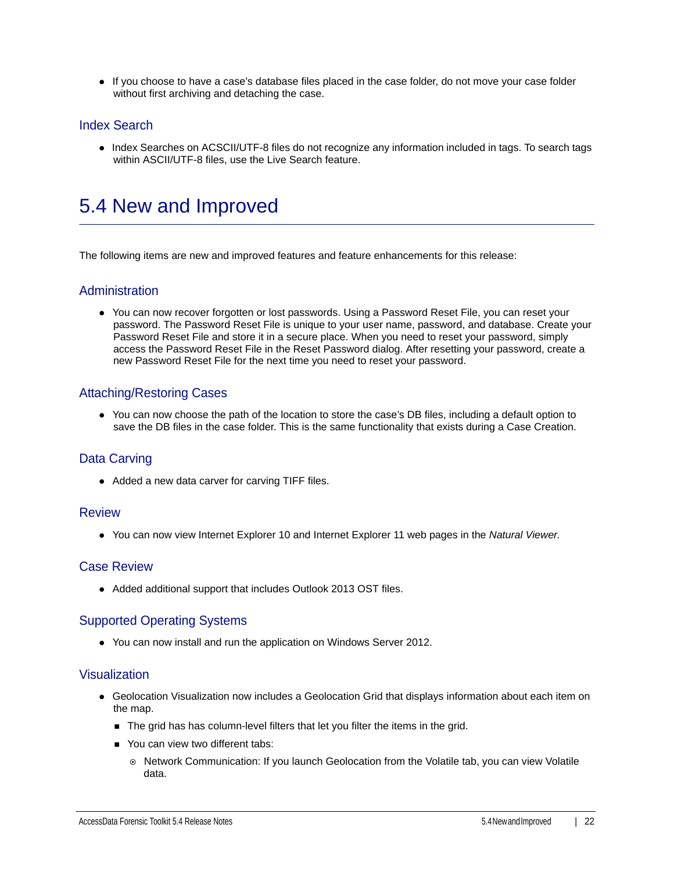If you choose to have a case's database files placed in the case folder, do not move your case folder without first archiving and detaching the case.

## Index Search

• Index Searches on ACSCII/UTF-8 files do not recognize any information included in tags. To search tags within ASCII/UTF-8 files, use the Live Search feature.

## <span id="page-21-0"></span>5.4 New and Improved

The following items are new and improved features and feature enhancements for this release:

### Administration

You can now recover forgotten or lost passwords. Using a Password Reset File, you can reset your password. The Password Reset File is unique to your user name, password, and database. Create your Password Reset File and store it in a secure place. When you need to reset your password, simply access the Password Reset File in the Reset Password dialog. After resetting your password, create a new Password Reset File for the next time you need to reset your password.

## Attaching/Restoring Cases

You can now choose the path of the location to store the case's DB files, including a default option to save the DB files in the case folder. This is the same functionality that exists during a Case Creation.

## Data Carving

• Added a new data carver for carving TIFF files.

#### **Review**

You can now view Internet Explorer 10 and Internet Explorer 11 web pages in the *Natural Viewer*.

#### Case Review

Added additional support that includes Outlook 2013 OST files.

## Supported Operating Systems

You can now install and run the application on Windows Server 2012.

#### Visualization

- Geolocation Visualization now includes a Geolocation Grid that displays information about each item on the map.
	- The grid has has column-level filters that let you filter the items in the grid.
	- **You can view two different tabs:** 
		- $\circ$  Network Communication: If you launch Geolocation from the Volatile tab, you can view Volatile data.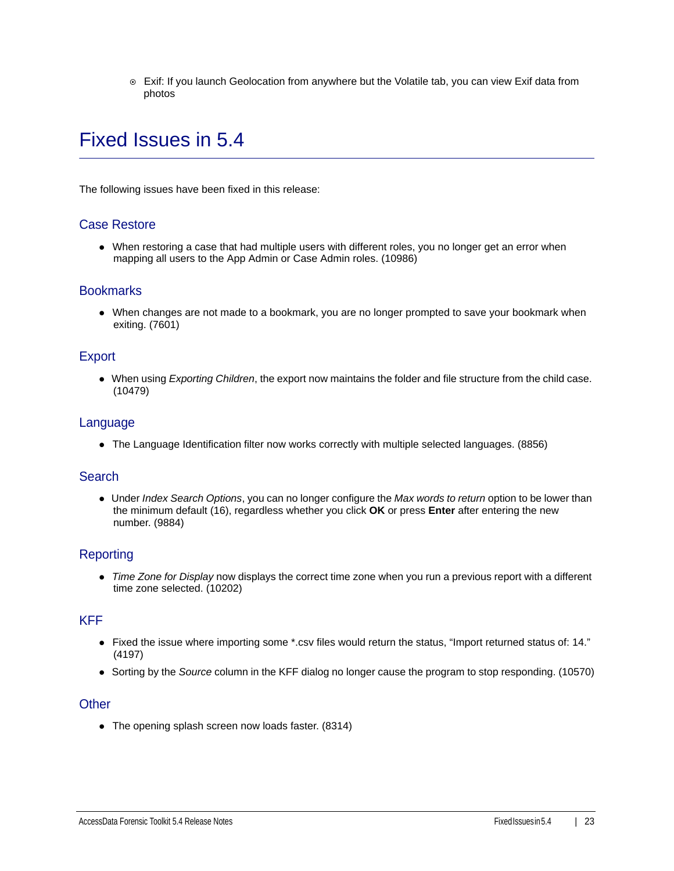Exif: If you launch Geolocation from anywhere but the Volatile tab, you can view Exif data from photos

## <span id="page-22-0"></span>Fixed Issues in 5.4

The following issues have been fixed in this release:

### Case Restore

When restoring a case that had multiple users with different roles, you no longer get an error when mapping all users to the App Admin or Case Admin roles. (10986)

#### **Bookmarks**

When changes are not made to a bookmark, you are no longer prompted to save your bookmark when exiting. (7601)

## Export

When using *Exporting Children*, the export now maintains the folder and file structure from the child case. (10479)

### Language

The Language Identification filter now works correctly with multiple selected languages. (8856)

### **Search**

Under *Index Search Options*, you can no longer configure the *Max words to return* option to be lower than the minimum default (16), regardless whether you click **OK** or press **Enter** after entering the new number. (9884)

## Reporting

*Time Zone for Display* now displays the correct time zone when you run a previous report with a different time zone selected. (10202)

#### KFF

- Fixed the issue where importing some \*.csv files would return the status, "Import returned status of: 14." (4197)
- Sorting by the *Source* column in the KFF dialog no longer cause the program to stop responding. (10570)

### **Other**

The opening splash screen now loads faster. (8314)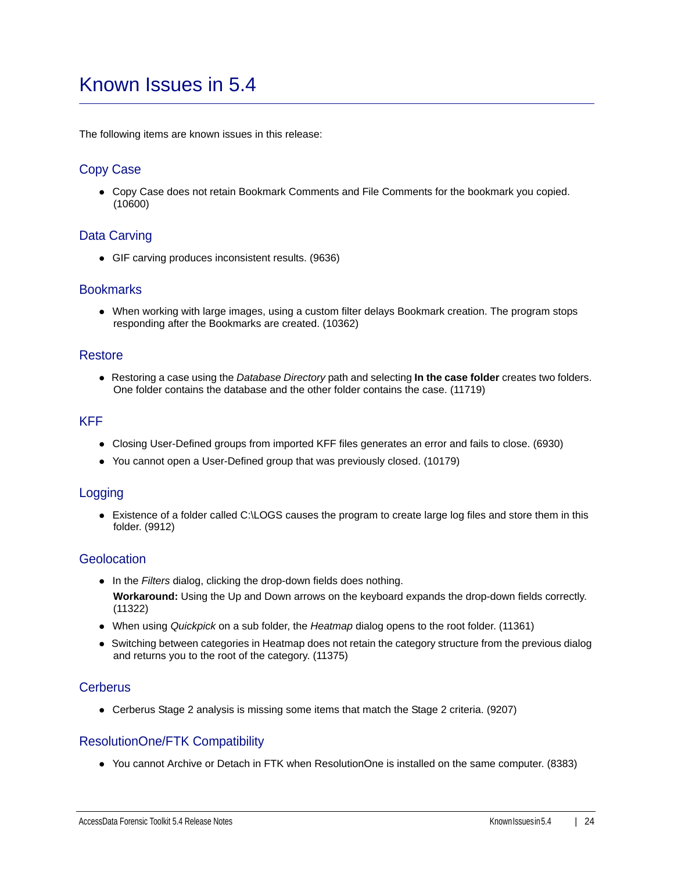## <span id="page-23-0"></span>Known Issues in 5.4

The following items are known issues in this release:

## Copy Case

Copy Case does not retain Bookmark Comments and File Comments for the bookmark you copied. (10600)

## Data Carving

GIF carving produces inconsistent results. (9636)

#### **Bookmarks**

When working with large images, using a custom filter delays Bookmark creation. The program stops responding after the Bookmarks are created. (10362)

### Restore

Restoring a case using the *Database Directory* path and selecting **In the case folder** creates two folders. One folder contains the database and the other folder contains the case. (11719)

### KFF

- Closing User-Defined groups from imported KFF files generates an error and fails to close. (6930)
- You cannot open a User-Defined group that was previously closed. (10179)

## Logging

Existence of a folder called C:\LOGS causes the program to create large log files and store them in this folder. (9912)

### **Geolocation**

- In the *Filters* dialog, clicking the drop-down fields does nothing. **Workaround:** Using the Up and Down arrows on the keyboard expands the drop-down fields correctly. (11322)
- When using *Quickpick* on a sub folder, the *Heatmap* dialog opens to the root folder. (11361)
- Switching between categories in Heatmap does not retain the category structure from the previous dialog and returns you to the root of the category. (11375)

#### **Cerberus**

Cerberus Stage 2 analysis is missing some items that match the Stage 2 criteria. (9207)

## ResolutionOne/FTK Compatibility

You cannot Archive or Detach in FTK when ResolutionOne is installed on the same computer. (8383)